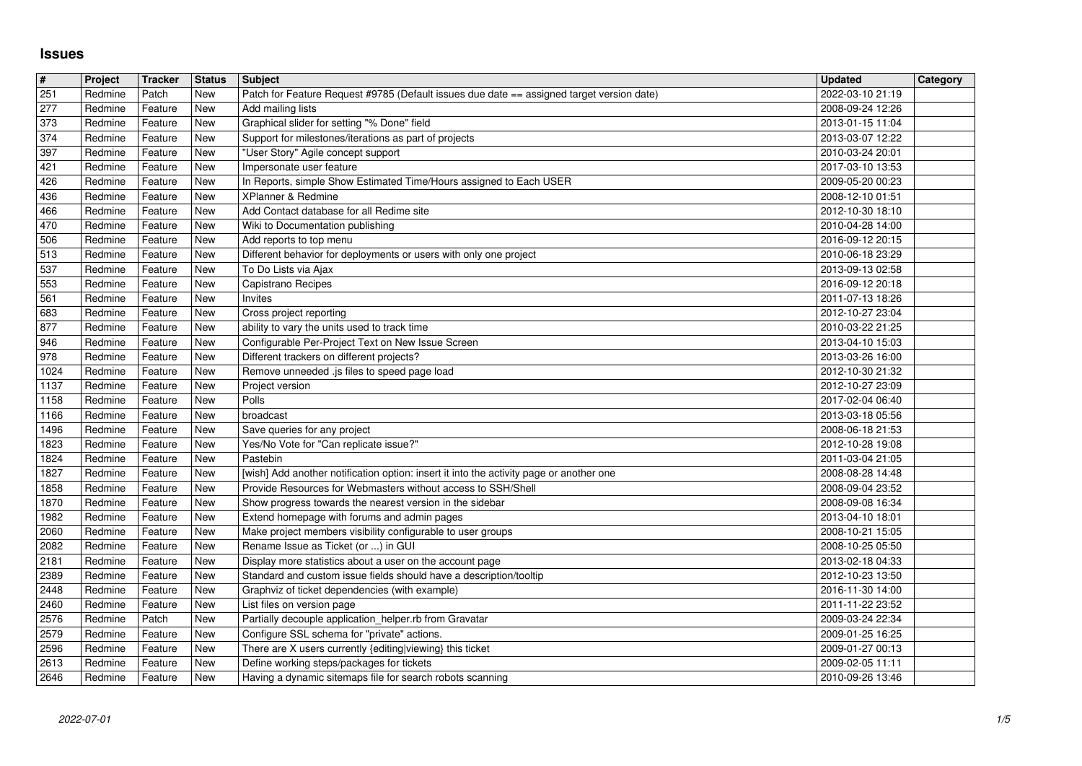## **Issues**

| $\#$         | Project            | Tracker            | <b>Status</b> | Subject                                                                                                                        | <b>Updated</b>                       | Category |
|--------------|--------------------|--------------------|---------------|--------------------------------------------------------------------------------------------------------------------------------|--------------------------------------|----------|
| 251<br>277   | Redmine<br>Redmine | Patch<br>Feature   | New<br>New    | Patch for Feature Request #9785 (Default issues due date == assigned target version date)<br>Add mailing lists                 | 2022-03-10 21:19<br>2008-09-24 12:26 |          |
| 373          | Redmine            | Feature            | New           | Graphical slider for setting "% Done" field                                                                                    | 2013-01-15 11:04                     |          |
| 374          | Redmine            | Feature            | New           | Support for milestones/iterations as part of projects                                                                          | 2013-03-07 12:22                     |          |
| 397<br>421   | Redmine<br>Redmine | Feature<br>Feature | New<br>New    | "User Story" Agile concept support<br>Impersonate user feature                                                                 | 2010-03-24 20:01<br>2017-03-10 13:53 |          |
| 426          | Redmine            | Feature            | New           | In Reports, simple Show Estimated Time/Hours assigned to Each USER                                                             | 2009-05-20 00:23                     |          |
| 436          | Redmine            | Feature            | New           | XPlanner & Redmine                                                                                                             | 2008-12-10 01:51                     |          |
| 466<br>470   | Redmine<br>Redmine | Feature<br>Feature | New<br>New    | Add Contact database for all Redime site<br>Wiki to Documentation publishing                                                   | 2012-10-30 18:10<br>2010-04-28 14:00 |          |
| 506          | Redmine            | Feature            | New           | Add reports to top menu                                                                                                        | 2016-09-12 20:15                     |          |
| 513<br>537   | Redmine<br>Redmine | Feature<br>Feature | New<br>New    | Different behavior for deployments or users with only one project<br>To Do Lists via Ajax                                      | 2010-06-18 23:29<br>2013-09-13 02:58 |          |
| 553          | Redmine            | Feature            | New           | Capistrano Recipes                                                                                                             | 2016-09-12 20:18                     |          |
| 561          | Redmine            | Feature            | New           | Invites                                                                                                                        | 2011-07-13 18:26                     |          |
| 683<br>877   | Redmine<br>Redmine | Feature<br>Feature | New<br>New    | Cross project reporting<br>ability to vary the units used to track time                                                        | 2012-10-27 23:04<br>2010-03-22 21:25 |          |
| 946          | Redmine            | Feature            | New           | Configurable Per-Project Text on New Issue Screen                                                                              | 2013-04-10 15:03                     |          |
| 978<br>1024  | Redmine<br>Redmine | Feature<br>Feature | New<br>New    | Different trackers on different projects?<br>Remove unneeded .js files to speed page load                                      | 2013-03-26 16:00<br>2012-10-30 21:32 |          |
| 1137         | Redmine            | Feature            | New           | Project version                                                                                                                | 2012-10-27 23:09                     |          |
| 1158         | Redmine            | Feature            | New           | Polls                                                                                                                          | 2017-02-04 06:40                     |          |
| 1166<br>1496 | Redmine<br>Redmine | Feature<br>Feature | New<br>New    | broadcast<br>Save queries for any project                                                                                      | 2013-03-18 05:56<br>2008-06-18 21:53 |          |
| 1823         | Redmine            | Feature            | New           | Yes/No Vote for "Can replicate issue?"                                                                                         | 2012-10-28 19:08                     |          |
| 1824<br>1827 | Redmine<br>Redmine | Feature<br>Feature | New<br>New    | Pastebin<br>[wish] Add another notification option: insert it into the activity page or another one                            | 2011-03-04 21:05<br>2008-08-28 14:48 |          |
| 1858         | Redmine            | Feature            | New           | Provide Resources for Webmasters without access to SSH/Shell                                                                   | 2008-09-04 23:52                     |          |
| 1870         | Redmine            | Feature            | New           | Show progress towards the nearest version in the sidebar                                                                       | 2008-09-08 16:34                     |          |
| 1982<br>2060 | Redmine<br>Redmine | Feature<br>Feature | New<br>New    | Extend homepage with forums and admin pages<br>Make project members visibility configurable to user groups                     | 2013-04-10 18:01<br>2008-10-21 15:05 |          |
| 2082         | Redmine            | Feature            | New           | Rename Issue as Ticket (or ) in GUI                                                                                            | 2008-10-25 05:50                     |          |
| 2181<br>2389 | Redmine<br>Redmine | Feature<br>Feature | New<br>New    | Display more statistics about a user on the account page<br>Standard and custom issue fields should have a description/tooltip | 2013-02-18 04:33                     |          |
| 2448         | Redmine            | Feature            | New           | Graphviz of ticket dependencies (with example)                                                                                 | 2012-10-23 13:50<br>2016-11-30 14:00 |          |
| 2460         | Redmine            | Feature            | New           | List files on version page                                                                                                     | 2011-11-22 23:52                     |          |
| 2576<br>2579 | Redmine<br>Redmine | Patch<br>Feature   | New<br>New    | Partially decouple application_helper.rb from Gravatar<br>Configure SSL schema for "private" actions.                          | 2009-03-24 22:34<br>2009-01-25 16:25 |          |
| 2596         | Redmine Feature    |                    | New           | There are X users currently {editing viewing} this ticket                                                                      | 2009-01-27 00:13                     |          |
| 2613<br>2646 | Redmine<br>Redmine | Feature<br>Feature | New<br>New    | Define working steps/packages for tickets<br>Having a dynamic sitemaps file for search robots scanning                         | 2009-02-05 11:11<br>2010-09-26 13:46 |          |
|              |                    |                    |               |                                                                                                                                |                                      |          |
|              |                    |                    |               |                                                                                                                                |                                      |          |
|              |                    |                    |               |                                                                                                                                |                                      |          |
|              |                    |                    |               |                                                                                                                                |                                      |          |
|              |                    |                    |               |                                                                                                                                |                                      |          |
|              |                    |                    |               |                                                                                                                                |                                      |          |
|              |                    |                    |               |                                                                                                                                |                                      |          |
|              |                    |                    |               |                                                                                                                                |                                      |          |
|              |                    |                    |               |                                                                                                                                |                                      |          |
|              |                    |                    |               |                                                                                                                                |                                      |          |
|              |                    |                    |               |                                                                                                                                |                                      |          |
|              |                    |                    |               |                                                                                                                                |                                      |          |
|              |                    |                    |               |                                                                                                                                |                                      |          |
|              |                    |                    |               |                                                                                                                                |                                      |          |
|              |                    |                    |               |                                                                                                                                |                                      |          |
|              |                    |                    |               |                                                                                                                                |                                      |          |
|              |                    |                    |               |                                                                                                                                |                                      |          |
|              |                    |                    |               |                                                                                                                                |                                      |          |
|              |                    |                    |               |                                                                                                                                |                                      |          |
|              |                    |                    |               |                                                                                                                                |                                      |          |
|              |                    |                    |               |                                                                                                                                |                                      |          |
|              |                    |                    |               |                                                                                                                                |                                      |          |
|              |                    |                    |               |                                                                                                                                |                                      |          |
|              |                    |                    |               |                                                                                                                                |                                      |          |
|              |                    |                    |               |                                                                                                                                |                                      |          |
|              |                    |                    |               |                                                                                                                                |                                      |          |
|              |                    |                    |               |                                                                                                                                |                                      |          |
|              |                    |                    |               |                                                                                                                                |                                      |          |
|              |                    |                    |               |                                                                                                                                |                                      |          |
|              |                    |                    |               |                                                                                                                                |                                      |          |
|              |                    |                    |               |                                                                                                                                |                                      |          |
|              |                    |                    |               |                                                                                                                                |                                      |          |
|              |                    |                    |               |                                                                                                                                |                                      |          |
|              |                    |                    |               |                                                                                                                                |                                      |          |
|              |                    |                    |               |                                                                                                                                |                                      |          |
|              |                    |                    |               |                                                                                                                                |                                      |          |
|              |                    |                    |               |                                                                                                                                |                                      |          |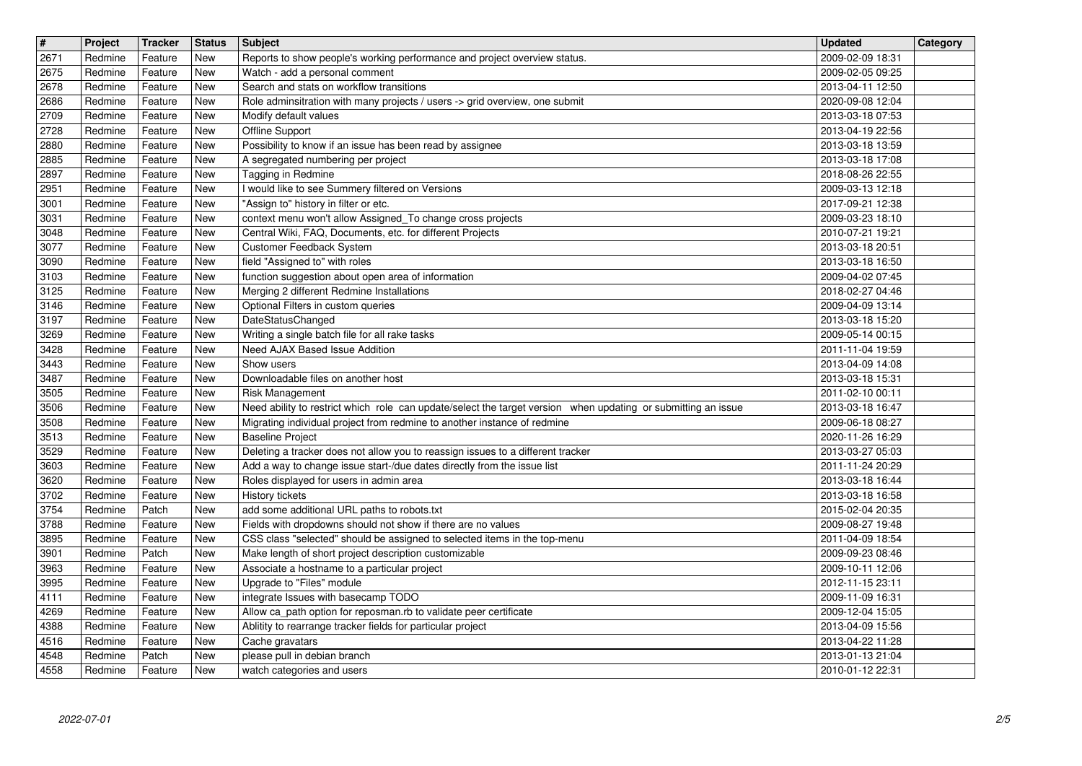| $\overline{\mathbf{H}}$<br>2671 | Project<br>Redmine | <b>Tracker</b><br>Feature | <b>Status</b><br>New | <b>Subject</b>                                                                                                                            | <b>Updated</b><br>2009-02-09 18:31   | Category |
|---------------------------------|--------------------|---------------------------|----------------------|-------------------------------------------------------------------------------------------------------------------------------------------|--------------------------------------|----------|
| 2675                            | Redmine            | Feature                   | New                  | Reports to show people's working performance and project overview status.<br>Watch - add a personal comment                               | 2009-02-05 09:25                     |          |
| 2678<br>2686                    | Redmine<br>Redmine | Feature<br>Feature        | New<br>New           | Search and stats on workflow transitions<br>Role adminsitration with many projects / users -> grid overview, one submit                   | 2013-04-11 12:50<br>2020-09-08 12:04 |          |
| 2709                            | Redmine            | Feature                   | New                  | Modify default values                                                                                                                     | 2013-03-18 07:53                     |          |
| 2728<br>2880                    | Redmine<br>Redmine | Feature<br>Feature        | New<br>New           | Offline Support<br>Possibility to know if an issue has been read by assignee                                                              | 2013-04-19 22:56<br>2013-03-18 13:59 |          |
| 2885<br>2897                    | Redmine<br>Redmine | Feature<br>Feature        | New<br>New           | A segregated numbering per project<br>Tagging in Redmine                                                                                  | 2013-03-18 17:08<br>2018-08-26 22:55 |          |
| 2951                            | Redmine            | Feature                   | <b>New</b>           | I would like to see Summery filtered on Versions                                                                                          | 2009-03-13 12:18                     |          |
| 3001<br>3031                    | Redmine<br>Redmine | Feature<br>Feature        | New<br>New           | "Assign to" history in filter or etc.<br>context menu won't allow Assigned_To change cross projects                                       | 2017-09-21 12:38<br>2009-03-23 18:10 |          |
| 3048                            | Redmine            | Feature<br>Feature        | New                  | Central Wiki, FAQ, Documents, etc. for different Projects<br>Customer Feedback System                                                     | 2010-07-21 19:21                     |          |
| 3077<br>3090                    | Redmine<br>Redmine | Feature                   | New<br>New           | field "Assigned to" with roles                                                                                                            | 2013-03-18 20:51<br>2013-03-18 16:50 |          |
| 3103<br>3125                    | Redmine<br>Redmine | Feature<br>Feature        | New<br>New           | function suggestion about open area of information<br>Merging 2 different Redmine Installations                                           | 2009-04-02 07:45<br>2018-02-27 04:46 |          |
| 3146<br>3197                    | Redmine<br>Redmine | Feature<br>Feature        | New<br>New           | Optional Filters in custom queries<br><b>DateStatusChanged</b>                                                                            | 2009-04-09 13:14<br>2013-03-18 15:20 |          |
| 3269                            | Redmine            | Feature                   | New                  | Writing a single batch file for all rake tasks                                                                                            | 2009-05-14 00:15                     |          |
| 3428<br>3443                    | Redmine<br>Redmine | Feature<br>Feature        | New<br>New           | Need AJAX Based Issue Addition<br>Show users                                                                                              | 2011-11-04 19:59<br>2013-04-09 14:08 |          |
| 3487<br>3505                    | Redmine<br>Redmine | Feature<br>Feature        | New<br>New           | Downloadable files on another host<br>Risk Management                                                                                     | 2013-03-18 15:31<br>2011-02-10 00:11 |          |
| 3506                            | Redmine            | Feature                   | New                  | Need ability to restrict which role can update/select the target version when updating or submitting an issue                             | 2013-03-18 16:47                     |          |
| 3508<br>3513                    | Redmine<br>Redmine | Feature<br>Feature        | New<br>New           | Migrating individual project from redmine to another instance of redmine<br><b>Baseline Project</b>                                       | 2009-06-18 08:27<br>2020-11-26 16:29 |          |
| 3529                            | Redmine            | Feature                   | New<br>New           | Deleting a tracker does not allow you to reassign issues to a different tracker                                                           | 2013-03-27 05:03                     |          |
| 3603<br>3620                    | Redmine<br>Redmine | Feature<br>Feature        | New                  | Add a way to change issue start-/due dates directly from the issue list<br>Roles displayed for users in admin area                        | 2011-11-24 20:29<br>2013-03-18 16:44 |          |
| 3702<br>3754                    | Redmine<br>Redmine | Feature<br>Patch          | New<br>New           | History tickets<br>add some additional URL paths to robots.txt                                                                            | 2013-03-18 16:58<br>2015-02-04 20:35 |          |
| 3788                            | Redmine            | Feature                   | New                  | Fields with dropdowns should not show if there are no values<br>CSS class "selected" should be assigned to selected items in the top-menu | 2009-08-27 19:48                     |          |
| 3895<br>3901                    | Redmine<br>Redmine | Feature<br>Patch          | New<br>New           | Make length of short project description customizable                                                                                     | 2011-04-09 18:54<br>2009-09-23 08:46 |          |
| 3963<br>3995                    | Redmine<br>Redmine | Feature<br>Feature        | New<br>New           | Associate a hostname to a particular project<br>Upgrade to "Files" module                                                                 | 2009-10-11 12:06<br>2012-11-15 23:11 |          |
| 4111                            | Redmine            | Feature                   | New                  | integrate Issues with basecamp TODO                                                                                                       | 2009-11-09 16:31                     |          |
| 4269<br>4388                    | Redmine<br>Redmine | Feature<br>Feature        | New<br>New           | Allow ca_path option for reposman.rb to validate peer certificate<br>Ablitity to rearrange tracker fields for particular project          | 2009-12-04 15:05<br>2013-04-09 15:56 |          |
| 4516<br>4548                    | Redmine<br>Redmine | Feature<br>Patch          | New<br>New           | Cache gravatars<br>please pull in debian branch                                                                                           | 2013-04-22 11:28<br>2013-01-13 21:04 |          |
| 4558                            | Redmine            | Feature                   | New                  | watch categories and users                                                                                                                | 2010-01-12 22:31                     |          |
|                                 |                    |                           |                      |                                                                                                                                           |                                      |          |
|                                 |                    |                           |                      |                                                                                                                                           |                                      |          |
|                                 |                    |                           |                      |                                                                                                                                           |                                      |          |
|                                 |                    |                           |                      |                                                                                                                                           |                                      |          |
|                                 |                    |                           |                      |                                                                                                                                           |                                      |          |
|                                 |                    |                           |                      |                                                                                                                                           |                                      |          |
|                                 |                    |                           |                      |                                                                                                                                           |                                      |          |
|                                 |                    |                           |                      |                                                                                                                                           |                                      |          |
|                                 |                    |                           |                      |                                                                                                                                           |                                      |          |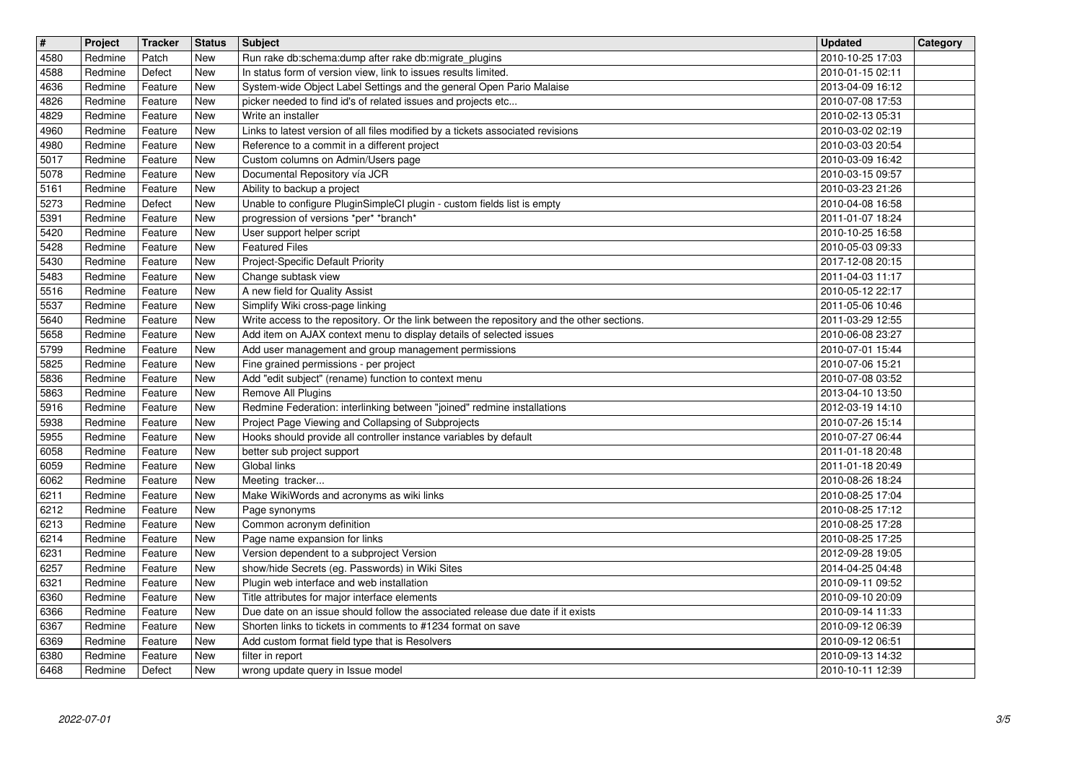| $\overline{\mathbf{H}}$<br>4580 | Project<br>Redmine | <b>Tracker</b><br>Patch | <b>Status</b><br><b>New</b> | <b>Subject</b><br>Run rake db:schema:dump after rake db:migrate_plugins                                                                                           | <b>Updated</b><br>2010-10-25 17:03   | Category |
|---------------------------------|--------------------|-------------------------|-----------------------------|-------------------------------------------------------------------------------------------------------------------------------------------------------------------|--------------------------------------|----------|
| 4588                            | Redmine            | Defect                  | New                         | In status form of version view, link to issues results limited.                                                                                                   | 2010-01-15 02:11                     |          |
| 4636<br>4826                    | Redmine<br>Redmine | Feature<br>Feature      | New<br>New                  | System-wide Object Label Settings and the general Open Pario Malaise<br>picker needed to find id's of related issues and projects etc                             | 2013-04-09 16:12<br>2010-07-08 17:53 |          |
| 4829                            | Redmine            | Feature                 | New                         | Write an installer                                                                                                                                                | 2010-02-13 05:31                     |          |
| 4960<br>4980                    | Redmine<br>Redmine | Feature<br>Feature      | New<br>New                  | Links to latest version of all files modified by a tickets associated revisions<br>Reference to a commit in a different project                                   | 2010-03-02 02:19<br>2010-03-03 20:54 |          |
| 5017<br>5078                    | Redmine<br>Redmine | Feature<br>Feature      | New<br>New                  | Custom columns on Admin/Users page<br>Documental Repository vía JCR                                                                                               | 2010-03-09 16:42<br>2010-03-15 09:57 |          |
| 5161                            | Redmine            | Feature                 | New                         | Ability to backup a project                                                                                                                                       | 2010-03-23 21:26                     |          |
| 5273<br>5391                    | Redmine<br>Redmine | Defect<br>Feature       | New<br>New                  | Unable to configure PluginSimpleCI plugin - custom fields list is empty<br>progression of versions *per* *branch*                                                 | 2010-04-08 16:58<br>2011-01-07 18:24 |          |
| 5420<br>5428                    | Redmine            | Feature                 | New<br>New                  | User support helper script<br><b>Featured Files</b>                                                                                                               | 2010-10-25 16:58                     |          |
| 5430                            | Redmine<br>Redmine | Feature<br>Feature      | New                         | Project-Specific Default Priority                                                                                                                                 | 2010-05-03 09:33<br>2017-12-08 20:15 |          |
| 5483<br>5516                    | Redmine<br>Redmine | Feature<br>Feature      | New<br>New                  | Change subtask view<br>A new field for Quality Assist                                                                                                             | 2011-04-03 11:17<br>2010-05-12 22:17 |          |
| 5537                            | Redmine            | Feature                 | New                         | Simplify Wiki cross-page linking                                                                                                                                  | 2011-05-06 10:46                     |          |
| 5640<br>5658                    | Redmine<br>Redmine | Feature<br>Feature      | New<br>New                  | Write access to the repository. Or the link between the repository and the other sections.<br>Add item on AJAX context menu to display details of selected issues | 2011-03-29 12:55<br>2010-06-08 23:27 |          |
| 5799<br>5825                    | Redmine<br>Redmine | Feature<br>Feature      | New<br>New                  | Add user management and group management permissions<br>Fine grained permissions - per project                                                                    | 2010-07-01 15:44<br>2010-07-06 15:21 |          |
| 5836                            | Redmine            | Feature                 | New                         | Add "edit subject" (rename) function to context menu                                                                                                              | 2010-07-08 03:52                     |          |
| 5863<br>5916                    | Redmine<br>Redmine | Feature<br>Feature      | New<br>New                  | Remove All Plugins<br>Redmine Federation: interlinking between "joined" redmine installations                                                                     | 2013-04-10 13:50<br>2012-03-19 14:10 |          |
| 5938<br>5955                    | Redmine<br>Redmine | Feature<br>Feature      | New<br>New                  | Project Page Viewing and Collapsing of Subprojects<br>Hooks should provide all controller instance variables by default                                           | 2010-07-26 15:14<br>2010-07-27 06:44 |          |
| 6058                            | Redmine            | Feature                 | <b>New</b>                  | better sub project support                                                                                                                                        | 2011-01-18 20:48                     |          |
| 6059<br>6062                    | Redmine<br>Redmine | Feature<br>Feature      | New<br>New                  | Global links<br>Meeting tracker                                                                                                                                   | 2011-01-18 20:49<br>2010-08-26 18:24 |          |
| 6211<br>6212                    | Redmine<br>Redmine | Feature<br>Feature      | New<br>New                  | Make WikiWords and acronyms as wiki links<br>Page synonyms                                                                                                        | 2010-08-25 17:04<br>2010-08-25 17:12 |          |
| 6213                            | Redmine            | Feature                 | New                         | Common acronym definition                                                                                                                                         | 2010-08-25 17:28                     |          |
| 6214<br>6231                    | Redmine<br>Redmine | Feature<br>Feature      | New<br>New                  | Page name expansion for links<br>Version dependent to a subproject Version                                                                                        | 2010-08-25 17:25<br>2012-09-28 19:05 |          |
| 6257                            | Redmine            | Feature                 | New                         | show/hide Secrets (eg. Passwords) in Wiki Sites                                                                                                                   | 2014-04-25 04:48                     |          |
| 6321<br>6360                    | Redmine<br>Redmine | Feature<br>Feature      | New<br>New                  | Plugin web interface and web installation<br>Title attributes for major interface elements                                                                        | 2010-09-11 09:52<br>2010-09-10 20:09 |          |
| 6366<br>6367                    | Redmine<br>Redmine | Feature<br>Feature      | New<br>New                  | Due date on an issue should follow the associated release due date if it exists<br>Shorten links to tickets in comments to #1234 format on save                   | 2010-09-14 11:33<br>2010-09-12 06:39 |          |
| 6369                            | Redmine            | Feature                 | New                         | Add custom format field type that is Resolvers                                                                                                                    | 2010-09-12 06:51                     |          |
| 6380<br>6468                    | Redmine<br>Redmine | Feature<br>Defect       | New<br>New                  | filter in report<br>wrong update query in Issue model                                                                                                             | 2010-09-13 14:32<br>2010-10-11 12:39 |          |
|                                 |                    |                         |                             |                                                                                                                                                                   |                                      |          |
|                                 |                    |                         |                             |                                                                                                                                                                   |                                      |          |
|                                 |                    |                         |                             |                                                                                                                                                                   |                                      |          |
|                                 |                    |                         |                             |                                                                                                                                                                   |                                      |          |
|                                 |                    |                         |                             |                                                                                                                                                                   |                                      |          |
|                                 |                    |                         |                             |                                                                                                                                                                   |                                      |          |
|                                 |                    |                         |                             |                                                                                                                                                                   |                                      |          |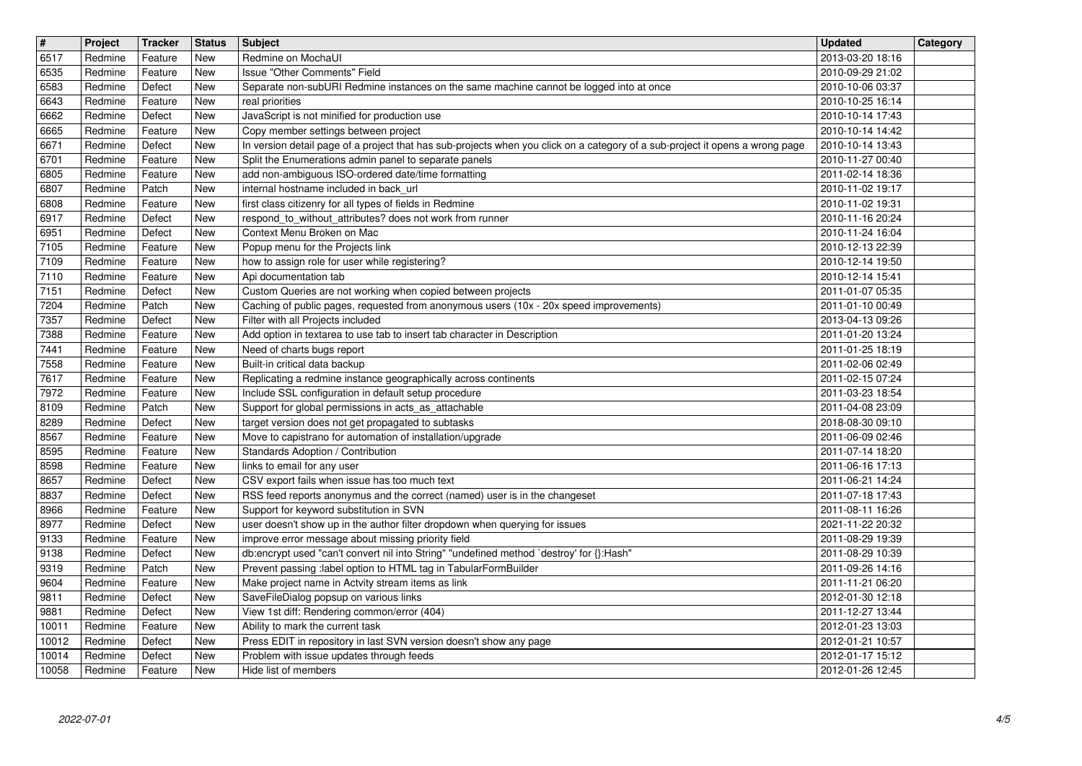| $\sqrt{t}$<br>6517 | Project<br>Redmine | Tracker<br>Feature | <b>Status</b><br>New | <b>Subject</b><br>Redmine on MochaUI                                                                                                                                  | <b>Updated</b><br>2013-03-20 18:16   | Category |
|--------------------|--------------------|--------------------|----------------------|-----------------------------------------------------------------------------------------------------------------------------------------------------------------------|--------------------------------------|----------|
| 6535               | Redmine            | Feature            | New                  | <b>Issue "Other Comments" Field</b>                                                                                                                                   | 2010-09-29 21:02                     |          |
| 6583<br>6643       | Redmine<br>Redmine | Defect<br>Feature  | New<br>New           | Separate non-subURI Redmine instances on the same machine cannot be logged into at once<br>real priorities                                                            | 2010-10-06 03:37<br>2010-10-25 16:14 |          |
| 6662               | Redmine            | Defect             | New                  | JavaScript is not minified for production use                                                                                                                         | 2010-10-14 17:43                     |          |
| 6665<br>6671       | Redmine<br>Redmine | Feature<br>Defect  | New<br>New           | Copy member settings between project<br>In version detail page of a project that has sub-projects when you click on a category of a sub-project it opens a wrong page | 2010-10-14 14:42<br>2010-10-14 13:43 |          |
| 6701<br>6805       | Redmine<br>Redmine | Feature<br>Feature | New<br>New           | Split the Enumerations admin panel to separate panels<br>add non-ambiguous ISO-ordered date/time formatting                                                           | 2010-11-27 00:40<br>2011-02-14 18:36 |          |
| 6807               | Redmine            | Patch              | <b>New</b>           | internal hostname included in back_url                                                                                                                                | 2010-11-02 19:17                     |          |
| 6808<br>6917       | Redmine<br>Redmine | Feature<br>Defect  | New<br>New           | first class citizenry for all types of fields in Redmine<br>respond_to_without_attributes? does not work from runner                                                  | 2010-11-02 19:31<br>2010-11-16 20:24 |          |
| 6951               | Redmine            | Defect             | New                  | Context Menu Broken on Mac                                                                                                                                            | 2010-11-24 16:04                     |          |
| 7105<br>7109       | Redmine<br>Redmine | Feature<br>Feature | New<br>New           | Popup menu for the Projects link<br>how to assign role for user while registering?                                                                                    | 2010-12-13 22:39<br>2010-12-14 19:50 |          |
| 7110<br>7151       | Redmine<br>Redmine | Feature<br>Defect  | New<br>New           | Api documentation tab<br>Custom Queries are not working when copied between projects                                                                                  | 2010-12-14 15:41<br>2011-01-07 05:35 |          |
| 7204               | Redmine            | Patch              | <b>New</b>           | Caching of public pages, requested from anonymous users (10x - 20x speed improvements)                                                                                | 2011-01-10 00:49                     |          |
| 7357<br>7388       | Redmine<br>Redmine | Defect<br>Feature  | New<br>New           | Filter with all Projects included<br>Add option in textarea to use tab to insert tab character in Description                                                         | 2013-04-13 09:26<br>2011-01-20 13:24 |          |
| 7441<br>7558       | Redmine<br>Redmine | Feature<br>Feature | New<br>New           | Need of charts bugs report<br>Built-in critical data backup                                                                                                           | 2011-01-25 18:19<br>2011-02-06 02:49 |          |
| 7617               | Redmine            | Feature            | New                  | Replicating a redmine instance geographically across continents                                                                                                       | 2011-02-15 07:24                     |          |
| 7972<br>8109       | Redmine<br>Redmine | Feature<br>Patch   | New<br>New           | Include SSL configuration in default setup procedure<br>Support for global permissions in acts_as_attachable                                                          | 2011-03-23 18:54<br>2011-04-08 23:09 |          |
| 8289<br>8567       | Redmine<br>Redmine | Defect<br>Feature  | New<br>New           | target version does not get propagated to subtasks<br>Move to capistrano for automation of installation/upgrade                                                       | 2018-08-30 09:10<br>2011-06-09 02:46 |          |
| 8595               | Redmine            | Feature            | <b>New</b>           | Standards Adoption / Contribution                                                                                                                                     | 2011-07-14 18:20                     |          |
| 8598<br>8657       | Redmine<br>Redmine | Feature<br>Defect  | New<br>New           | links to email for any user<br>CSV export fails when issue has too much text                                                                                          | 2011-06-16 17:13<br>2011-06-21 14:24 |          |
| 8837<br>8966       | Redmine<br>Redmine | Defect<br>Feature  | New<br>New           | RSS feed reports anonymus and the correct (named) user is in the changeset<br>Support for keyword substitution in SVN                                                 | 2011-07-18 17:43<br>2011-08-11 16:26 |          |
| 8977               | Redmine            | Defect             | New                  | user doesn't show up in the author filter dropdown when querying for issues                                                                                           | 2021-11-22 20:32                     |          |
| 9133<br>9138       | Redmine<br>Redmine | Feature<br>Defect  | New<br>New           | improve error message about missing priority field<br>db:encrypt used "can't convert nil into String" "undefined method `destroy' for {}:Hash"                        | 2011-08-29 19:39<br>2011-08-29 10:39 |          |
| 9319               | Redmine            | Patch              | New                  | Prevent passing :label option to HTML tag in TabularFormBuilder                                                                                                       | 2011-09-26 14:16                     |          |
| 9604<br>9811       | Redmine<br>Redmine | Feature<br>Defect  | New<br>New           | Make project name in Actvity stream items as link<br>SaveFileDialog popsup on various links                                                                           | 2011-11-21 06:20<br>2012-01-30 12:18 |          |
| 9881<br>10011      | Redmine<br>Redmine | Defect<br>Feature  | New<br>New           | View 1st diff: Rendering common/error (404)<br>Ability to mark the current task                                                                                       | 2011-12-27 13:44<br>2012-01-23 13:03 |          |
| 10012              | Redmine            | Defect             | New                  | Press EDIT in repository in last SVN version doesn't show any page<br>Problem with issue updates through feeds                                                        | 2012-01-21 10:57                     |          |
| 10014<br>10058     | Redmine<br>Redmine | Defect<br>Feature  | New<br>New           | Hide list of members                                                                                                                                                  | 2012-01-17 15:12<br>2012-01-26 12:45 |          |
|                    |                    |                    |                      |                                                                                                                                                                       |                                      |          |
|                    |                    |                    |                      |                                                                                                                                                                       |                                      |          |
|                    |                    |                    |                      |                                                                                                                                                                       |                                      |          |
|                    |                    |                    |                      |                                                                                                                                                                       |                                      |          |
|                    |                    |                    |                      |                                                                                                                                                                       |                                      |          |
|                    |                    |                    |                      |                                                                                                                                                                       |                                      |          |
|                    |                    |                    |                      |                                                                                                                                                                       |                                      |          |